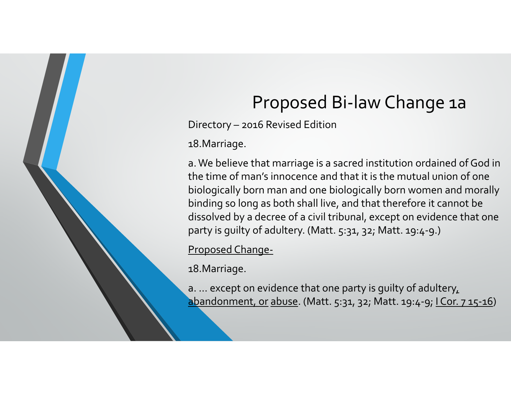# Proposed Bi‐law Change 1a

Directory – 2016 Revised Edition

18.Marriage.

a. We believe that marriage is a sacred institution ordained of God in the time of man's innocence and that it is the mutual union of one biologically born man and one biologically born women and morally binding so long as both shall live, and that therefore it cannot be dissolved by <sup>a</sup> decree of <sup>a</sup> civil tribunal, excep<sup>t</sup> on evidence that one party is guilty of adultery. (Matt. 5:31, 32; Matt. 19:4‐9.)

Proposed Change‐

18.Marriage.

a. … excep<sup>t</sup> on evidence that one party is guilty of adultery, abandonment, or abuse. (Matt. 5:31, 32; Matt. 19:4-9; I Cor. 7 15-16)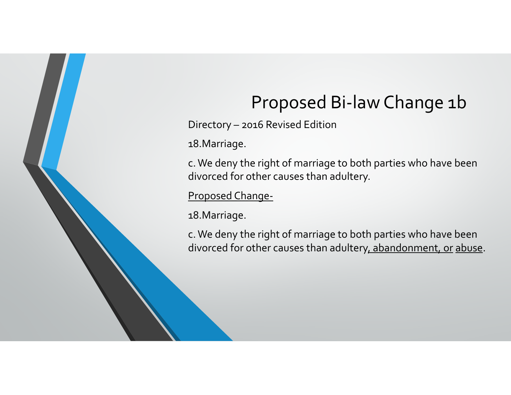# Proposed Bi‐law Change 1b

Directory – 2016 Revised Edition

18.Marriage.

c. We deny the right of marriage to both parties who have been divorced for other causes than adultery.

Proposed Change‐

18.Marriage.

c. We deny the right of marriage to both parties who have been divorced for other causes than adultery<u>, abandonment, or abuse</u>.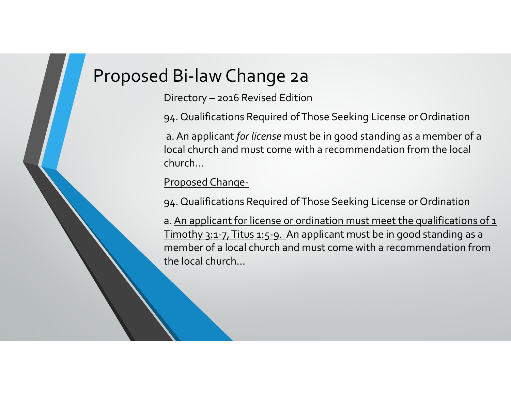### Proposed Bi‐law Change 2a

Directory – 2016 Revised Edition

94. Qualifications Required ofThose Seeking License or Ordination

a.An applicant *for license* must be in good standing as <sup>a</sup> member of <sup>a</sup> local church and must come with <sup>a</sup> recommendation from the local church…

#### Proposed Change‐

94. Qualifications Required ofThose Seeking License or Ordination

a. <u>An applicant for license or ordination must meet the qualifications of 1</u> Timothy 3:1-7, Titus 1:5-9. An applicant must be in good standing as a member of <sup>a</sup> local church and must come with <sup>a</sup> recommendation fromthe local church…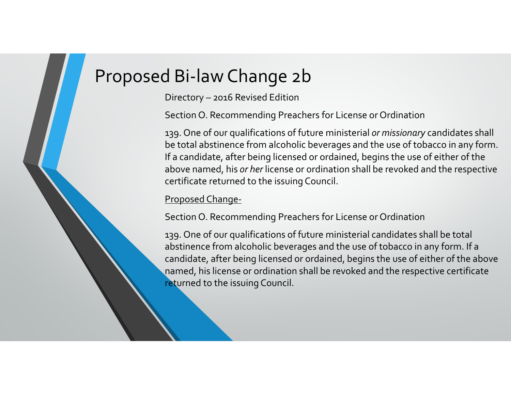## Proposed Bi‐law Change 2b

Directory – 2016 Revised Edition

Section O. Recommending Preachers for License or Ordination

139. One of our qualifications of future ministerial *or missionary* candidates shall be total abstinence from alcoholic beverages and the use of tobacco in any form. If a candidate, after being licensed or ordained, begins the use of either of the above named, his *or her* license or ordination shall be revoked and the respective certificate returned to the issuing Council.

#### Proposed Change‐

Section O. Recommending Preachers for License or Ordination

139. One of our qualifications of future ministerial candidates shall be total abstinence from alcoholic beverages and the use of tobacco in any form. If <sup>a</sup> candidate, after being licensed or ordained, begins the use of either of the above named, his license or ordination shall be revoked and the respective certificate r**et**urned to the issuing Council.